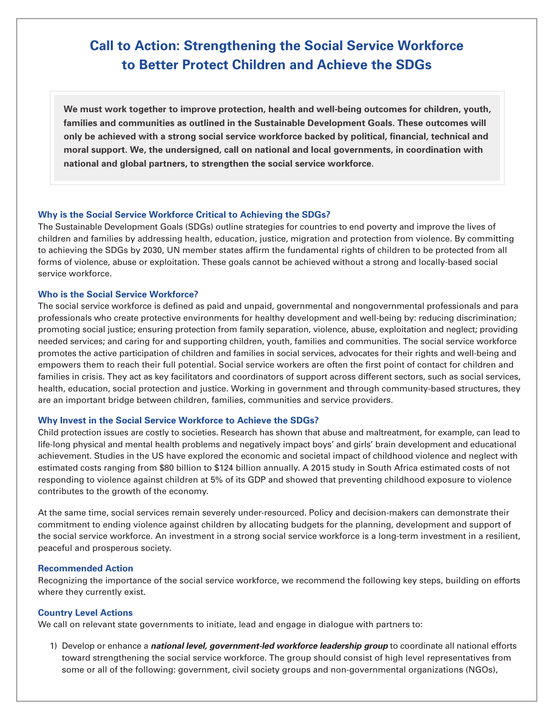# **Call to Action: Strengthening the Social Service Workforce to Better Protect Children and Achieve the SDGs**

**We must work together to improve protection, health and well-being outcomes for children, youth, families and communities as outlined in the Sustainable Development Goals. These outcomes will only be achieved with a strong social service workforce backed by political, financial, technical and moral support. We, the undersigned, call on national and local governments, in coordination with national and global partners, to strengthen the social service workforce.**

## **Why is the Social Service Workforce Critical to Achieving the SDGs?**

The Sustainable Development Goals (SDGs) outline strategies for countries to end poverty and improve the lives of children and families by addressing health, education, justice, migration and protection from violence. By committing to achieving the SDGs by 2030, UN member states affirm the fundamental rights of children to be protected from all forms of violence, abuse or exploitation. These goals cannot be achieved without a strong and locally-based social service workforce.

## **Who is the Social Service Workforce?**

The social service workforce is defined as paid and unpaid, governmental and nongovernmental professionals and para professionals who create protective environments for healthy development and well-being by: reducing discrimination; promoting social justice; ensuring protection from family separation, violence, abuse, exploitation and neglect; providing needed services; and caring for and supporting children, youth, families and communities. The social service workforce promotes the active participation of children and families in social services, advocates for their rights and well-being and empowers them to reach their full potential. Social service workers are often the first point of contact for children and families in crisis. They act as key facilitators and coordinators of support across different sectors, such as social services, health, education, social protection and justice. Working in government and through community-based structures, they are an important bridge between children, families, communities and service providers.

## **Why Invest in the Social Service Workforce to Achieve the SDGs?**

Child protection issues are costly to societies. Research has shown that abuse and maltreatment, for example, can lead to life-long physical and mental health problems and negatively impact boys' and girls' brain development and educational achievement. Studies in the US have explored the economic and societal impact of childhood violence and neglect with estimated costs ranging from \$80 billion to \$124 billion annually. A 2015 study in South Africa estimated costs of not responding to violence against children at 5% of its GDP and showed that preventing childhood exposure to violence contributes to the growth of the economy.

At the same time, social services remain severely under-resourced. Policy and decision-makers can demonstrate their commitment to ending violence against children by allocating budgets for the planning, development and support of the social service workforce. An investment in a strong social service workforce is a long-term investment in a resilient, peaceful and prosperous society.

#### **Recommended Action**

Recognizing the importance of the social service workforce, we recommend the following key steps, building on efforts where they currently exist.

#### **Country Level Actions**

We call on relevant state governments to initiate, lead and engage in dialogue with partners to:

1) Develop or enhance a *national level, government-led workforce leadership group* to coordinate all national efforts toward strengthening the social service workforce. The group should consist of high level representatives from some or all of the following: government, civil society groups and non-governmental organizations (NGOs),